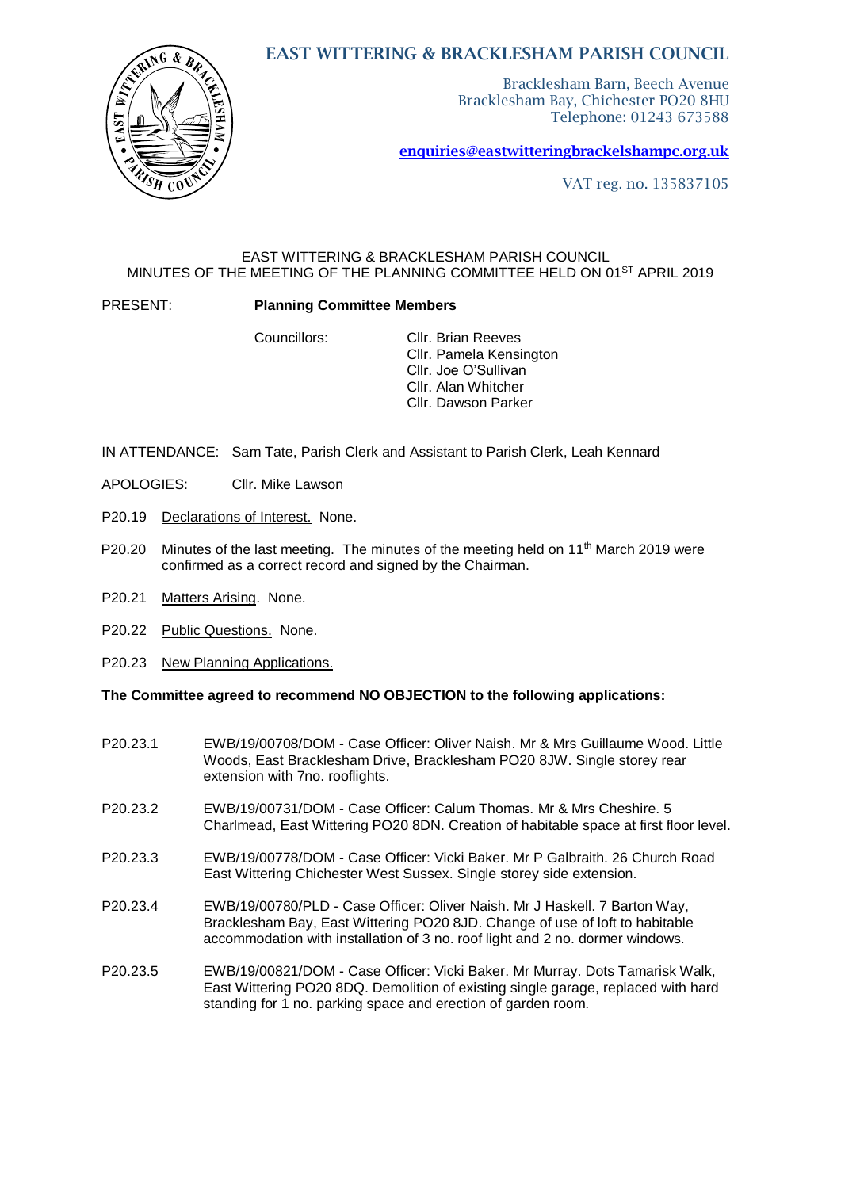# EAST WITTERING & BRACKLESHAM PARISH COUNCIL



Bracklesham Barn, Beech Avenue Bracklesham Bay, Chichester PO20 8HU Telephone: 01243 673588

[enquiries@eastwitteringb](mailto:enquiries@eastwittering)rackelshampc.org.uk

VAT reg. no. 135837105

### EAST WITTERING & BRACKLESHAM PARISH COUNCIL MINUTES OF THE MEETING OF THE PLANNING COMMITTEE HELD ON 01ST APRIL 2019

PRESENT: **Planning Committee Members**

Councillors: Cllr. Brian Reeves Cllr. Pamela Kensington Cllr. Joe O'Sullivan Cllr. Alan Whitcher Cllr. Dawson Parker

- IN ATTENDANCE: Sam Tate, Parish Clerk and Assistant to Parish Clerk, Leah Kennard
- APOLOGIES: Cllr. Mike Lawson
- P20.19 Declarations of Interest. None.
- P20.20 Minutes of the last meeting. The minutes of the meeting held on 11<sup>th</sup> March 2019 were confirmed as a correct record and signed by the Chairman.
	- P20.21 Matters Arising. None.
	- P20.22 Public Questions. None.
	- P20.23 New Planning Applications.

#### **The Committee agreed to recommend NO OBJECTION to the following applications:**

- P20.23.1 EWB/19/00708/DOM Case Officer: Oliver Naish. Mr & Mrs Guillaume Wood. Little Woods, East Bracklesham Drive, Bracklesham PO20 8JW. Single storey rear extension with 7no. rooflights.
- P20.23.2 EWB/19/00731/DOM Case Officer: Calum Thomas. Mr & Mrs Cheshire. 5 Charlmead, East Wittering PO20 8DN. Creation of habitable space at first floor level.
- P20.23.3 EWB/19/00778/DOM Case Officer: Vicki Baker. Mr P Galbraith. 26 Church Road East Wittering Chichester West Sussex. Single storey side extension.
- P20.23.4 EWB/19/00780/PLD Case Officer: Oliver Naish. Mr J Haskell. 7 Barton Way, Bracklesham Bay, East Wittering PO20 8JD. Change of use of loft to habitable accommodation with installation of 3 no. roof light and 2 no. dormer windows.
- P20.23.5 EWB/19/00821/DOM Case Officer: Vicki Baker. Mr Murray. Dots Tamarisk Walk, East Wittering PO20 8DQ. Demolition of existing single garage, replaced with hard standing for 1 no. parking space and erection of garden room.